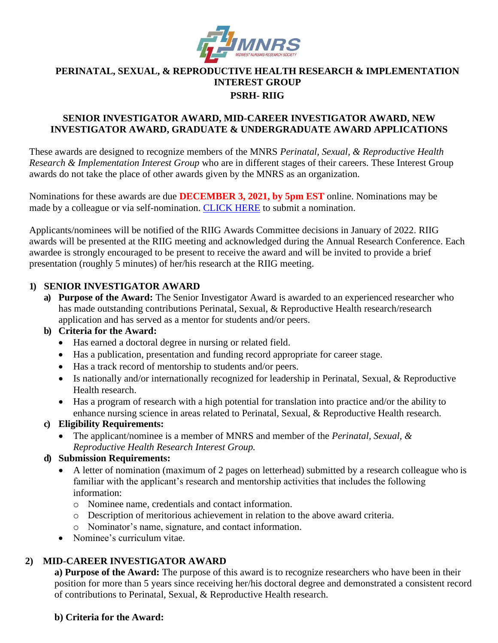

# **PERINATAL, SEXUAL, & REPRODUCTIVE HEALTH RESEARCH & IMPLEMENTATION INTEREST GROUP**

#### **PSRH- RIIG**

### **SENIOR INVESTIGATOR AWARD, MID-CAREER INVESTIGATOR AWARD, NEW INVESTIGATOR AWARD, GRADUATE & UNDERGRADUATE AWARD APPLICATIONS**

These awards are designed to recognize members of the MNRS *Perinatal, Sexual, & Reproductive Health Research & Implementation Interest Group* who are in different stages of their careers. These Interest Group awards do not take the place of other awards given by the MNRS as an organization.

Nominations for these awards are due **DECEMBER 3, 2021, by 5pm EST** online. Nominations may be made by a colleague or via self-nomination. [CLICK HERE](https://mnrs.societyconference.com/?conf_id=10006&m=user&h=event/ev_073mx) to submit a nomination.

Applicants/nominees will be notified of the RIIG Awards Committee decisions in January of 2022. RIIG awards will be presented at the RIIG meeting and acknowledged during the Annual Research Conference. Each awardee is strongly encouraged to be present to receive the award and will be invited to provide a brief presentation (roughly 5 minutes) of her/his research at the RIIG meeting.

### **1) SENIOR INVESTIGATOR AWARD**

**a) Purpose of the Award:** The Senior Investigator Award is awarded to an experienced researcher who has made outstanding contributions Perinatal, Sexual, & Reproductive Health research/research application and has served as a mentor for students and/or peers.

#### **b) Criteria for the Award:**

- Has earned a doctoral degree in nursing or related field.
- Has a publication, presentation and funding record appropriate for career stage.
- Has a track record of mentorship to students and/or peers.
- Is nationally and/or internationally recognized for leadership in Perinatal, Sexual, & Reproductive Health research.
- Has a program of research with a high potential for translation into practice and/or the ability to enhance nursing science in areas related to Perinatal, Sexual, & Reproductive Health research.

#### **c) Eligibility Requirements:**

• The applicant/nominee is a member of MNRS and member of the *Perinatal, Sexual, & Reproductive Health Research Interest Group.*

#### **d) Submission Requirements:**

- A letter of nomination (maximum of 2 pages on letterhead) submitted by a research colleague who is familiar with the applicant's research and mentorship activities that includes the following information:
	- o Nominee name, credentials and contact information.
	- o Description of meritorious achievement in relation to the above award criteria.
	- o Nominator's name, signature, and contact information.
- Nominee's curriculum vitae.

# **2) MID-CAREER INVESTIGATOR AWARD**

**a) Purpose of the Award:** The purpose of this award is to recognize researchers who have been in their position for more than 5 years since receiving her/his doctoral degree and demonstrated a consistent record of contributions to Perinatal, Sexual, & Reproductive Health research.

# **b) Criteria for the Award:**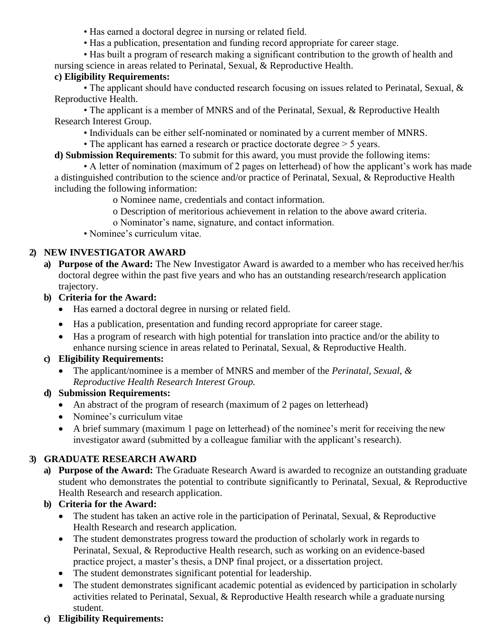- Has earned a doctoral degree in nursing or related field.
- Has a publication, presentation and funding record appropriate for career stage.
- Has built a program of research making a significant contribution to the growth of health and nursing science in areas related to Perinatal, Sexual, & Reproductive Health.

### **c) Eligibility Requirements:**

• The applicant should have conducted research focusing on issues related to Perinatal, Sexual, & Reproductive Health.

• The applicant is a member of MNRS and of the Perinatal, Sexual, & Reproductive Health Research Interest Group.

• Individuals can be either self-nominated or nominated by a current member of MNRS.

• The applicant has earned a research or practice doctorate degree  $>$  5 years.

**d) Submission Requirements**: To submit for this award, you must provide the following items:

• A letter of nomination (maximum of 2 pages on letterhead) of how the applicant's work has made a distinguished contribution to the science and/or practice of Perinatal, Sexual, & Reproductive Health including the following information:

o Nominee name, credentials and contact information.

o Description of meritorious achievement in relation to the above award criteria.

o Nominator's name, signature, and contact information.

• Nominee's curriculum vitae.

# **2) NEW INVESTIGATOR AWARD**

- **a) Purpose of the Award:** The New Investigator Award is awarded to a member who has received her/his doctoral degree within the past five years and who has an outstanding research/research application trajectory.
- **b) Criteria for the Award:**
	- Has earned a doctoral degree in nursing or related field.
	- Has a publication, presentation and funding record appropriate for career stage.
	- Has a program of research with high potential for translation into practice and/or the ability to enhance nursing science in areas related to Perinatal, Sexual, & Reproductive Health.

#### **c) Eligibility Requirements:**

• The applicant/nominee is a member of MNRS and member of the *Perinatal, Sexual, & Reproductive Health Research Interest Group.*

#### **d) Submission Requirements:**

- An abstract of the program of research (maximum of 2 pages on letterhead)
- Nominee's curriculum vitae
- A brief summary (maximum 1 page on letterhead) of the nominee's merit for receiving the new investigator award (submitted by a colleague familiar with the applicant's research).

# **3) GRADUATE RESEARCH AWARD**

**a) Purpose of the Award:** The Graduate Research Award is awarded to recognize an outstanding graduate student who demonstrates the potential to contribute significantly to Perinatal, Sexual, & Reproductive Health Research and research application.

# **b) Criteria for the Award:**

- The student has taken an active role in the participation of Perinatal, Sexual, & Reproductive Health Research and research application.
- The student demonstrates progress toward the production of scholarly work in regards to Perinatal, Sexual, & Reproductive Health research, such as working on an evidence-based practice project, a master's thesis, a DNP final project, or a dissertation project.
- The student demonstrates significant potential for leadership.
- The student demonstrates significant academic potential as evidenced by participation in scholarly activities related to Perinatal, Sexual, & Reproductive Health research while a graduate nursing student.

#### **c) Eligibility Requirements:**